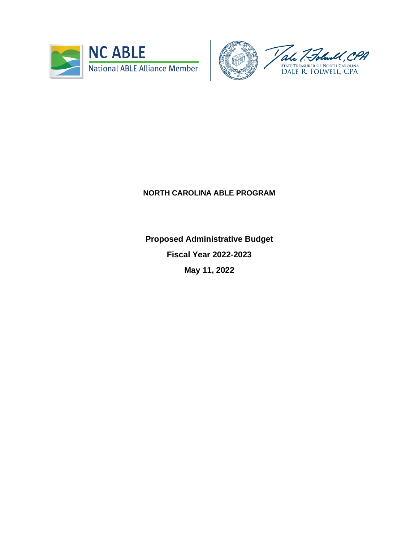



## **NORTH CAROLINA ABLE PROGRAM**

**Proposed Administrative Budget Fiscal Year 2022-2023 May 11, 2022**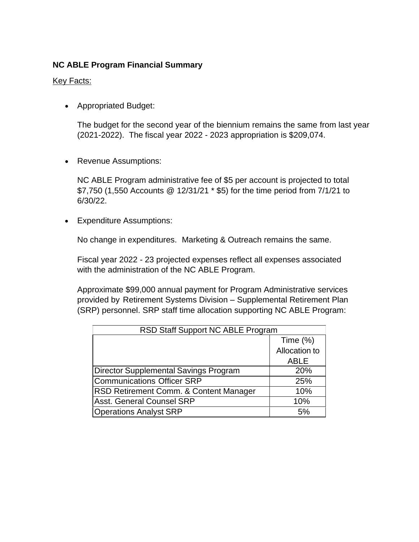## **NC ABLE Program Financial Summary**

## Key Facts:

• Appropriated Budget:

The budget for the second year of the biennium remains the same from last year (2021-2022). The fiscal year 2022 - 2023 appropriation is \$209,074.

• Revenue Assumptions:

NC ABLE Program administrative fee of \$5 per account is projected to total \$7,750 (1,550 Accounts @ 12/31/21 \* \$5) for the time period from 7/1/21 to 6/30/22.

• Expenditure Assumptions:

No change in expenditures. Marketing & Outreach remains the same.

Fiscal year 2022 - 23 projected expenses reflect all expenses associated with the administration of the NC ABLE Program.

Approximate \$99,000 annual payment for Program Administrative services provided by Retirement Systems Division – Supplemental Retirement Plan (SRP) personnel. SRP staff time allocation supporting NC ABLE Program:

| RSD Staff Support NC ABLE Program      |               |  |  |  |  |  |  |
|----------------------------------------|---------------|--|--|--|--|--|--|
|                                        | Time $(\%)$   |  |  |  |  |  |  |
|                                        | Allocation to |  |  |  |  |  |  |
|                                        | <b>ABLE</b>   |  |  |  |  |  |  |
| Director Supplemental Savings Program  | 20%           |  |  |  |  |  |  |
| Communications Officer SRP             | 25%           |  |  |  |  |  |  |
| RSD Retirement Comm. & Content Manager | 10%           |  |  |  |  |  |  |
| <b>Asst. General Counsel SRP</b>       | 10%           |  |  |  |  |  |  |
| <b>Operations Analyst SRP</b>          | 5%            |  |  |  |  |  |  |